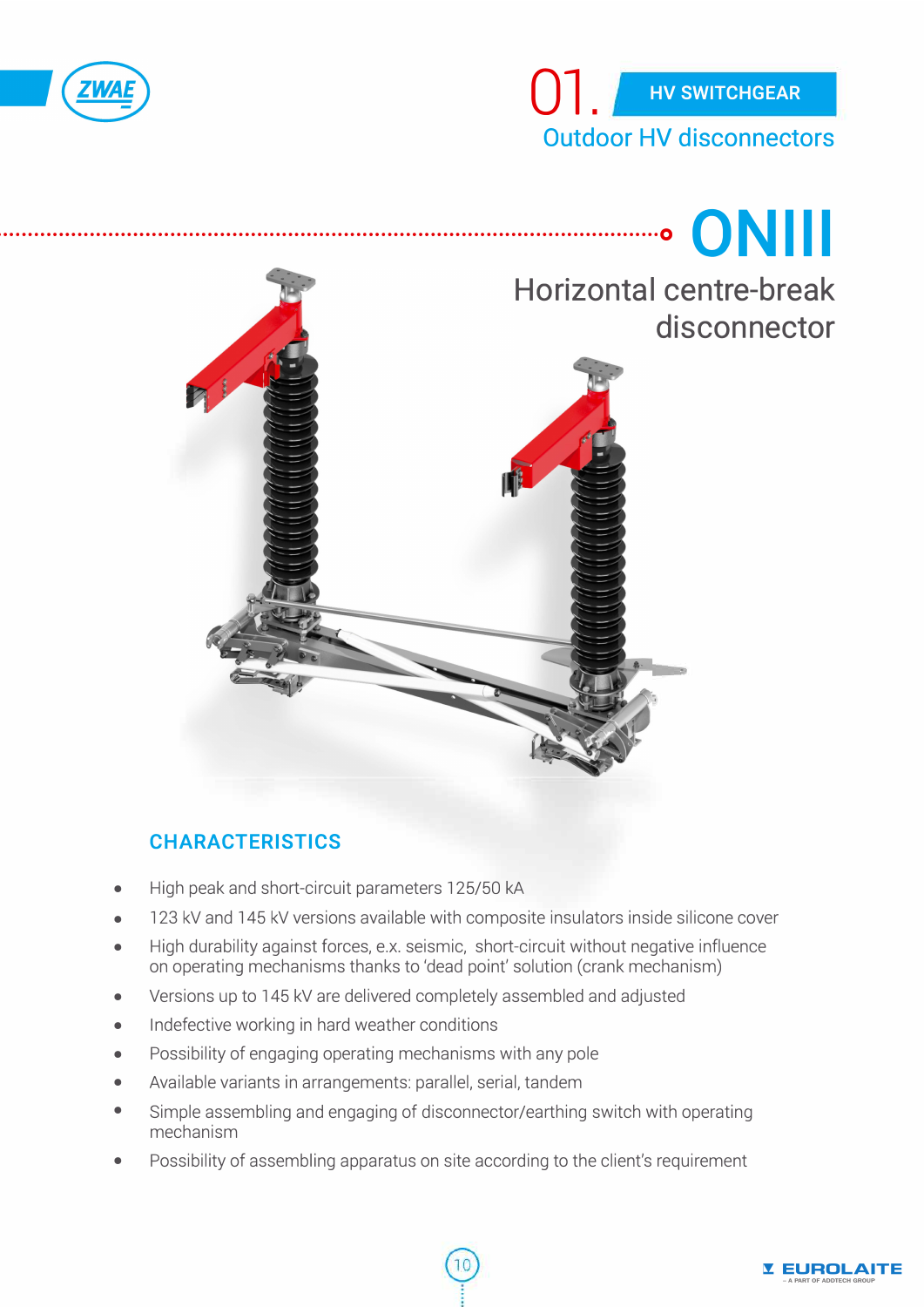



# , •• · •• · •••••••••••••••••••••••• · •• · •••••••••••••••••••••••• · •• · •••••••••••••••••••••••• · •• · ••••••••••••••• ·O **O N 111 Horizontal centre-break disconnector**

# **CHARACTERISTICS**

- High peak and short-circuit parameters 125/50 kA
- 123 kV and 145 kV versions available with composite insulators inside silicone cover
- High durability against forces, e.x. seismic, short-circuit without negative influence on operating mechanisms thanks to 'dead point' solution (crank mechanism)
- Versions up to 145 kV are delivered completely assembled and adjusted
- lndefective working in hard weather conditions
- Possibility of engaging operating mechanisms with any pole
- Available variants in arrangements: parallel, serial, tandem
- Simple assembling and engaging of disconnector/earthing switch with operating mechanism
- Possibility of assembling apparatus on site according to the client's requirement

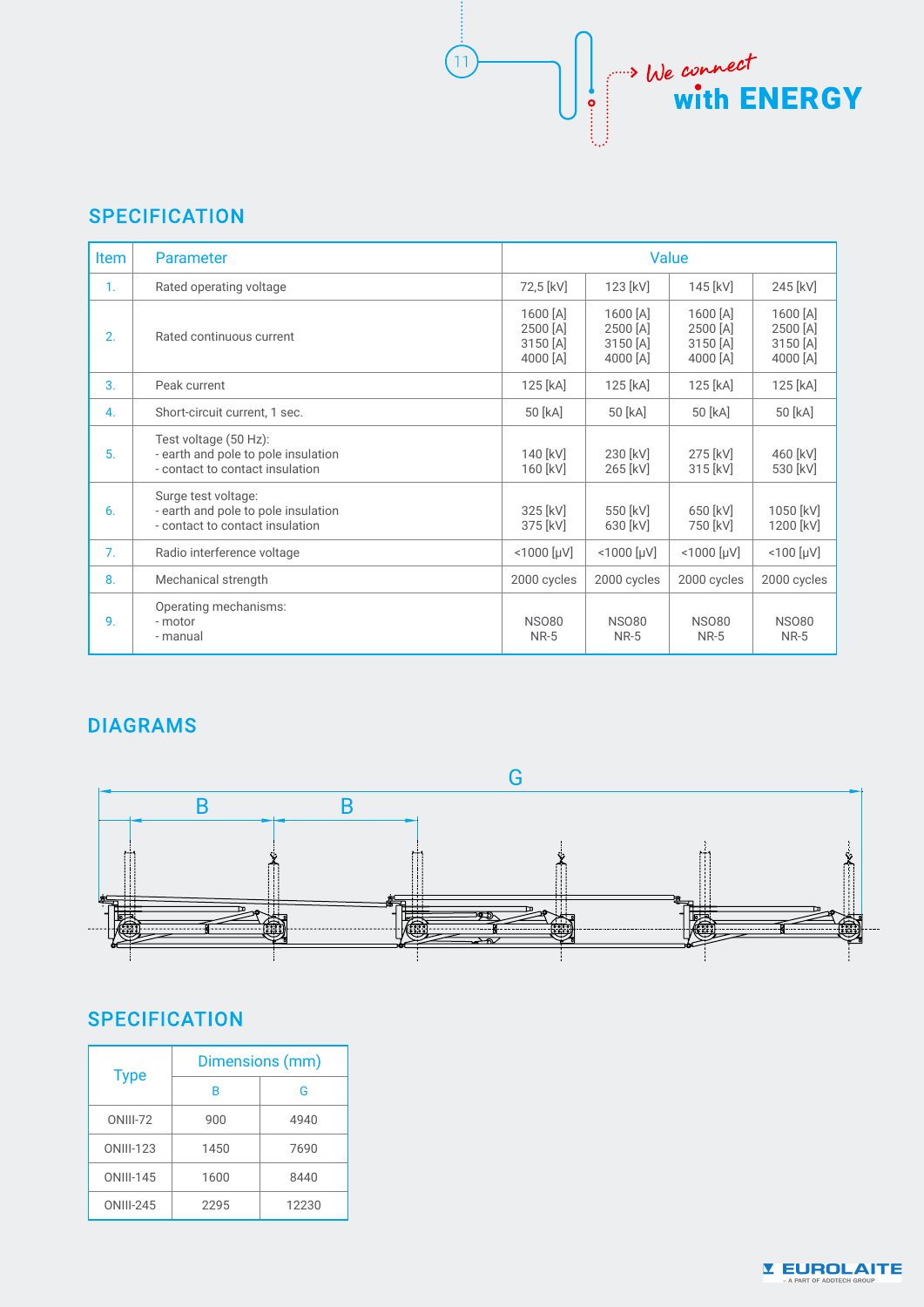# **SPECIFICATION**

| <b>Item</b>    | <b>Parameter</b>                                                                                | Value                                        |                                                |                                              |                                              |
|----------------|-------------------------------------------------------------------------------------------------|----------------------------------------------|------------------------------------------------|----------------------------------------------|----------------------------------------------|
| $\mathbf{1}$ . | Rated operating voltage                                                                         | 72,5 [kV]                                    | 123 [kV]                                       | 145 [kV]                                     | 245 [kV]                                     |
| 2.             | Rated continuous current                                                                        | 1600 [A]<br>2500 [A]<br>3150 [A]<br>4000 [A] | $1600$ [A]<br>2500 [A]<br>3150 [A]<br>4000 [A] | 1600 [A]<br>2500 [A]<br>3150 [A]<br>4000 [A] | 1600 [A]<br>2500 [A]<br>3150 [A]<br>4000 [A] |
| 3.             | Peak current                                                                                    | 125 [kA]                                     | 125 [kA]                                       | 125 [kA]                                     | 125 [kA]                                     |
| 4.             | Short-circuit current, 1 sec.                                                                   | 50 [kA]                                      | 50 [kA]                                        | 50 [kA]                                      | 50 [kA]                                      |
| 5.             | Test voltage (50 Hz):<br>- earth and pole to pole insulation<br>- contact to contact insulation | 140 [kV]<br>160 [kV]                         | 230 [kV]<br>265 [kV]                           | 275 [kV]<br>315 [kV]                         | 460 [kV]<br>530 [kV]                         |
| 6.             | Surge test voltage:<br>- earth and pole to pole insulation<br>- contact to contact insulation   | 325 [kV]<br>375 [kV]                         | 550 [kV]<br>630 [kV]                           | 650 [kV]<br>750 [kV]                         | 1050 [kV]<br>1200 [kV]                       |
| 7 <sub>1</sub> | Radio interference voltage                                                                      | $< 1000$ [µV]                                | $<$ 1000 [µV]                                  | $< 1000$ [µV]                                | $< 100$ [µV]                                 |
| 8.             | Mechanical strength                                                                             | 2000 cycles                                  | 2000 cycles                                    | 2000 cycles                                  | 2000 cycles                                  |
| 9.             | Operating mechanisms:<br>- motor<br>- manual                                                    | <b>NSO80</b><br><b>NR-5</b>                  | <b>NSO80</b><br><b>NR-5</b>                    | <b>NSO80</b><br><b>NR-5</b>                  | <b>NSO80</b><br><b>NR-5</b>                  |

 $11$ 

We connect<br>
with ENERGY

### **DIAGRAMS**



# **SPECIFICATION**

| <b>Type</b>      | Dimensions (mm) |       |  |  |
|------------------|-----------------|-------|--|--|
|                  | B               | G     |  |  |
| <b>ONIII-72</b>  | 900             | 4940  |  |  |
| <b>ONIII-123</b> | 1450            | 7690  |  |  |
| <b>ONIII-145</b> | 1600            | 8440  |  |  |
| ONIII-245        | 2295            | 12230 |  |  |